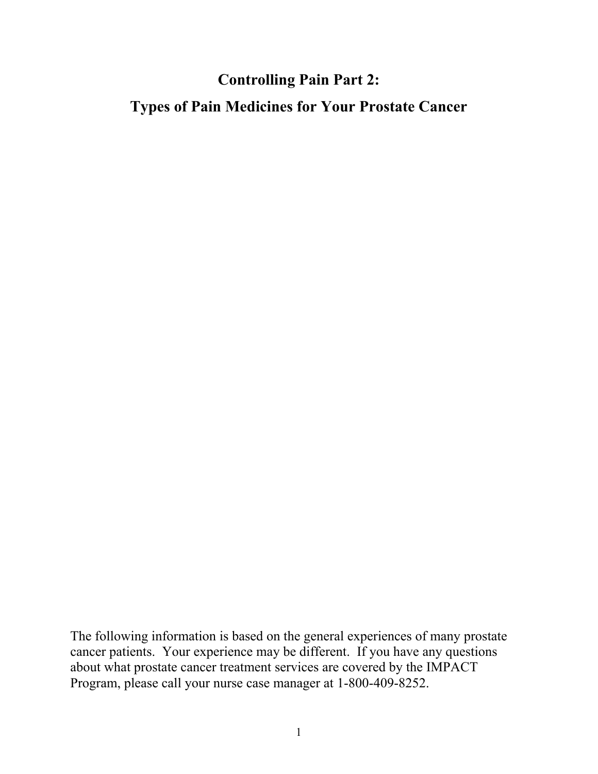## **Controlling Pain Part 2:**

**Types of Pain Medicines for Your Prostate Cancer** 

The following information is based on the general experiences of many prostate cancer patients. Your experience may be different. If you have any questions about what prostate cancer treatment services are covered by the IMPACT Program, please call your nurse case manager at 1-800-409-8252.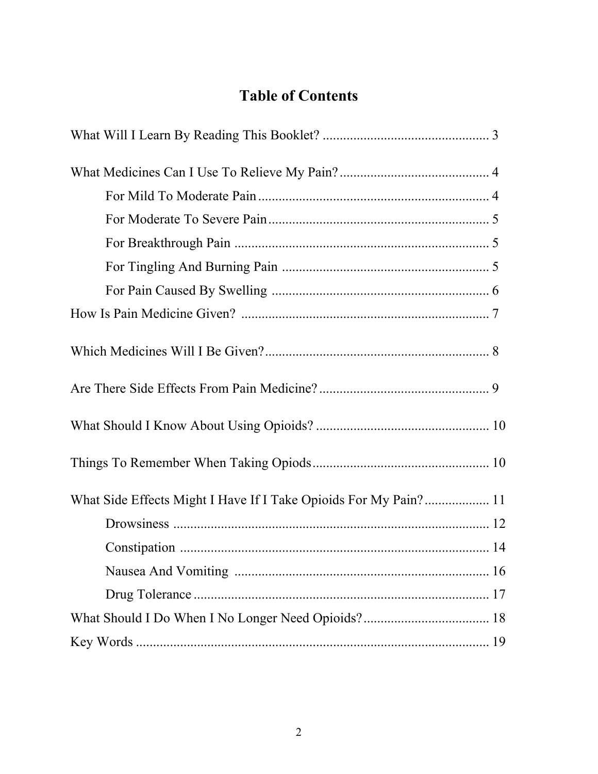# **Table of Contents**

| What Side Effects Might I Have If I Take Opioids For My Pain? 11 |  |
|------------------------------------------------------------------|--|
|                                                                  |  |
|                                                                  |  |
|                                                                  |  |
|                                                                  |  |
|                                                                  |  |
|                                                                  |  |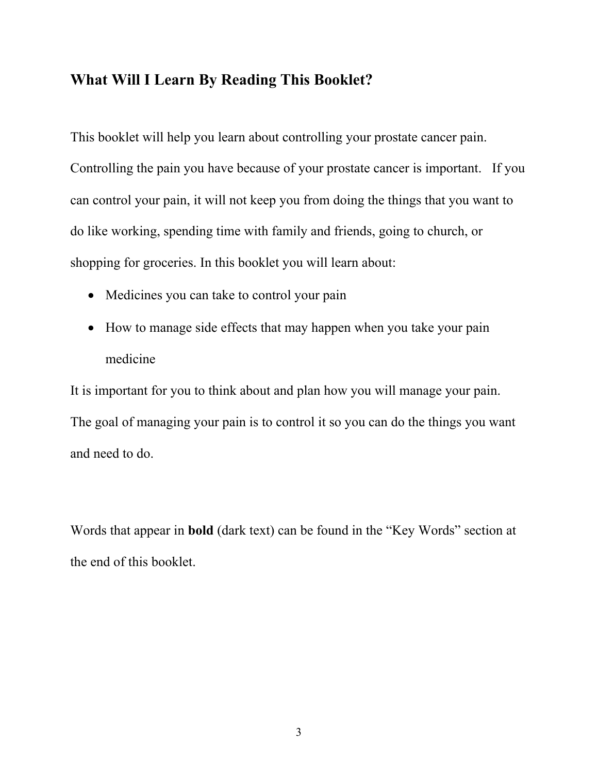## **What Will I Learn By Reading This Booklet?**

This booklet will help you learn about controlling your prostate cancer pain. Controlling the pain you have because of your prostate cancer is important. If you can control your pain, it will not keep you from doing the things that you want to do like working, spending time with family and friends, going to church, or shopping for groceries. In this booklet you will learn about:

- Medicines you can take to control your pain
- How to manage side effects that may happen when you take your pain medicine

It is important for you to think about and plan how you will manage your pain. The goal of managing your pain is to control it so you can do the things you want and need to do.

Words that appear in **bold** (dark text) can be found in the "Key Words" section at the end of this booklet.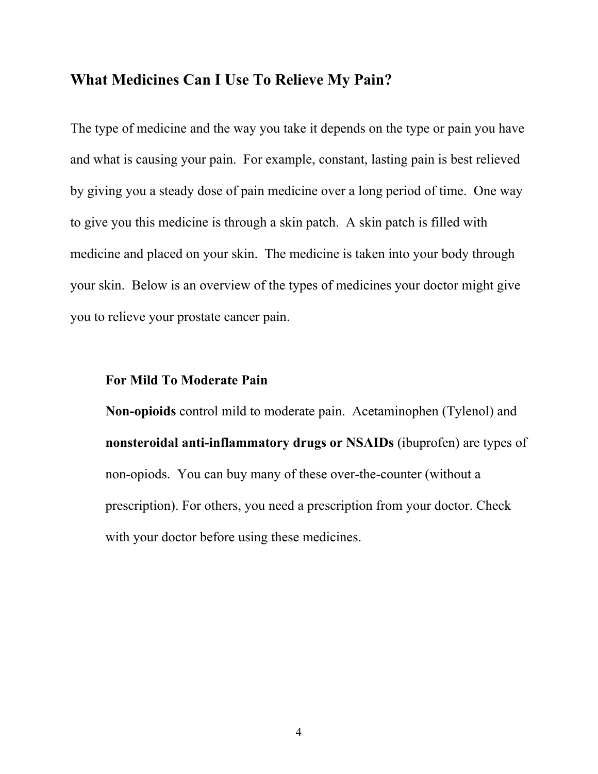#### **What Medicines Can I Use To Relieve My Pain?**

The type of medicine and the way you take it depends on the type or pain you have and what is causing your pain. For example, constant, lasting pain is best relieved by giving you a steady dose of pain medicine over a long period of time. One way to give you this medicine is through a skin patch. A skin patch is filled with medicine and placed on your skin. The medicine is taken into your body through your skin. Below is an overview of the types of medicines your doctor might give you to relieve your prostate cancer pain.

#### **For Mild To Moderate Pain**

**Non-opioids** control mild to moderate pain.Acetaminophen (Tylenol) and **nonsteroidal anti-inflammatory drugs or NSAIDs** (ibuprofen) are types of non-opiods. You can buy many of these over-the-counter (without a prescription). For others, you need a prescription from your doctor. Check with your doctor before using these medicines.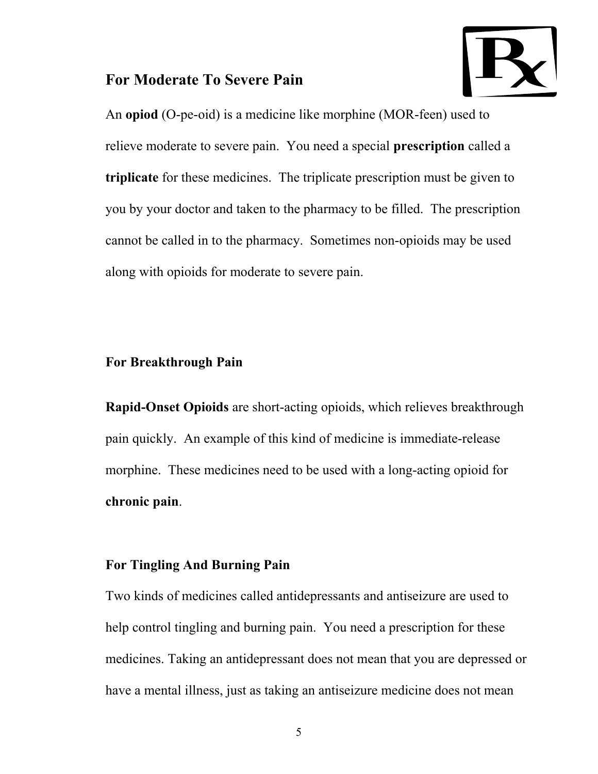### **For Moderate To Severe Pain**



An **opiod** (O-pe-oid) is a medicine like morphine (MOR-feen) used to relieve moderate to severe pain. You need a special **prescription** called a **triplicate** for these medicines. The triplicate prescription must be given to you by your doctor and taken to the pharmacy to be filled. The prescription cannot be called in to the pharmacy. Sometimes non-opioids may be used along with opioids for moderate to severe pain.

### **For Breakthrough Pain**

**Rapid-Onset Opioids** are short-acting opioids, which relieves breakthrough pain quickly. An example of this kind of medicine is immediate-release morphine. These medicines need to be used with a long-acting opioid for **chronic pain**.

#### **For Tingling And Burning Pain**

Two kinds of medicines called antidepressants and antiseizure are used to help control tingling and burning pain. You need a prescription for these medicines. Taking an antidepressant does not mean that you are depressed or have a mental illness, just as taking an antiseizure medicine does not mean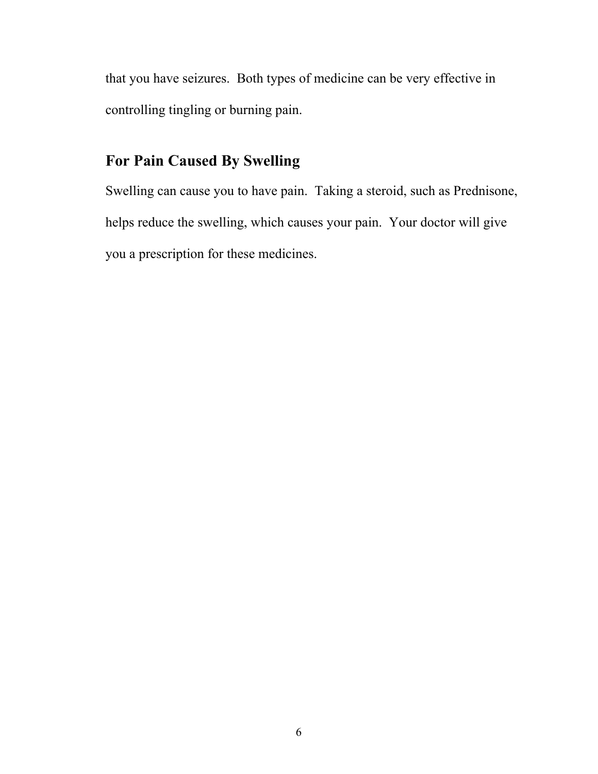that you have seizures. Both types of medicine can be very effective in controlling tingling or burning pain.

# **For Pain Caused By Swelling**

Swelling can cause you to have pain. Taking a steroid, such as Prednisone, helps reduce the swelling, which causes your pain. Your doctor will give you a prescription for these medicines.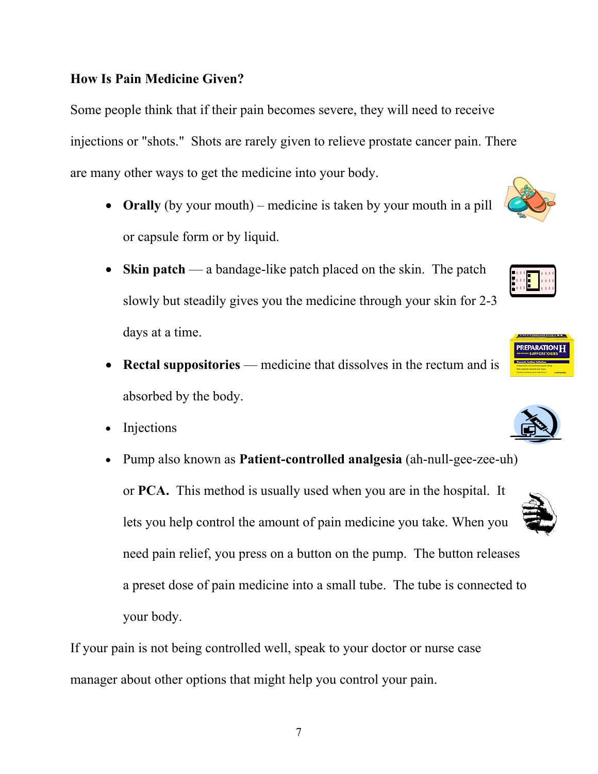7

## **How Is Pain Medicine Given?**

Some people think that if their pain becomes severe, they will need to receive injections or "shots." Shots are rarely given to relieve prostate cancer pain. There are many other ways to get the medicine into your body.

- **Orally** (by your mouth) medicine is taken by your mouth in a pill or capsule form or by liquid.
- **Skin patch** a bandage-like patch placed on the skin. The patch slowly but steadily gives you the medicine through your skin for 2-3 days at a time.
- **Rectal suppositories** medicine that dissolves in the rectum and is absorbed by the body.
- Injections
- Pump also known as **Patient-controlled analgesia** (ah-null-gee-zee-uh) or **PCA.** This method is usually used when you are in the hospital. It lets you help control the amount of pain medicine you take. When you need pain relief, you press on a button on the pump. The button releases a preset dose of pain medicine into a small tube. The tube is connected to your body.

If your pain is not being controlled well, speak to your doctor or nurse case manager about other options that might help you control your pain.









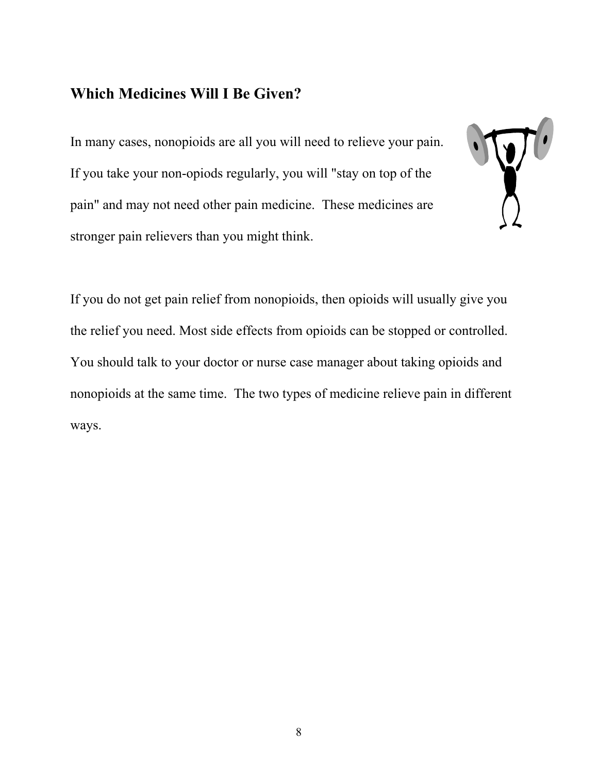## **Which Medicines Will I Be Given?**

In many cases, nonopioids are all you will need to relieve your pain. If you take your non-opiods regularly, you will "stay on top of the pain" and may not need other pain medicine. These medicines are stronger pain relievers than you might think.



If you do not get pain relief from nonopioids, then opioids will usually give you the relief you need. Most side effects from opioids can be stopped or controlled. You should talk to your doctor or nurse case manager about taking opioids and nonopioids at the same time. The two types of medicine relieve pain in different ways.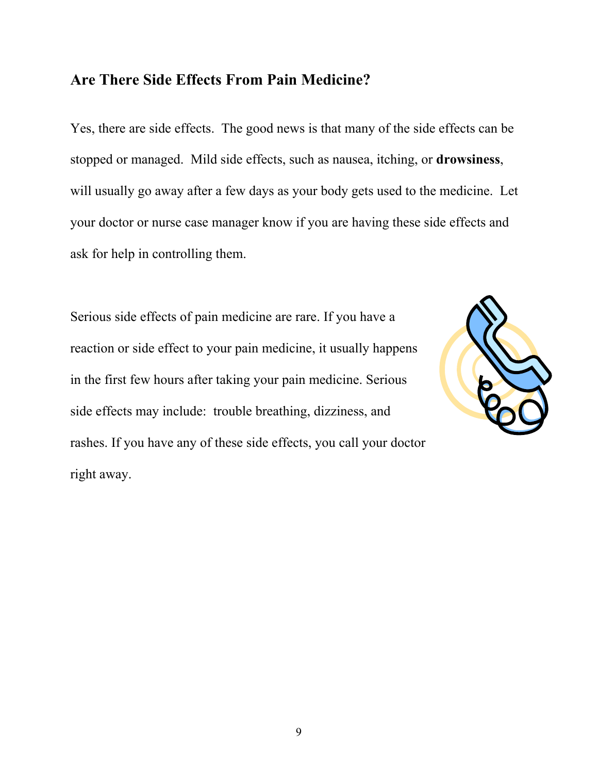### **Are There Side Effects From Pain Medicine?**

Yes, there are side effects. The good news is that many of the side effects can be stopped or managed. Mild side effects, such as nausea, itching, or **drowsiness**, will usually go away after a few days as your body gets used to the medicine. Let your doctor or nurse case manager know if you are having these side effects and ask for help in controlling them.

Serious side effects of pain medicine are rare. If you have a reaction or side effect to your pain medicine, it usually happens in the first few hours after taking your pain medicine. Serious side effects may include: trouble breathing, dizziness, and rashes. If you have any of these side effects, you call your doctor right away.

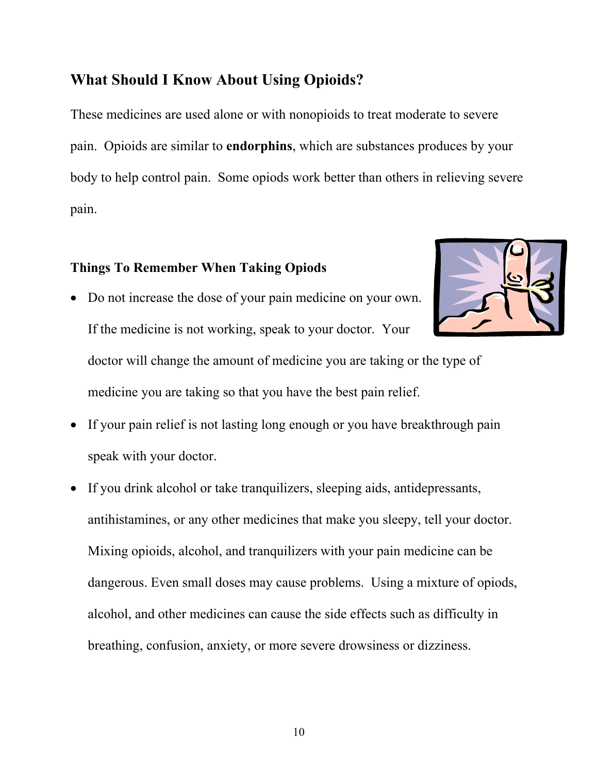## **What Should I Know About Using Opioids?**

These medicines are used alone or with nonopioids to treat moderate to severe pain. Opioids are similar to **endorphins**, which are substances produces by your body to help control pain. Some opiods work better than others in relieving severe pain.

## **Things To Remember When Taking Opiods**

- Do not increase the dose of your pain medicine on your own. If the medicine is not working, speak to your doctor. Your doctor will change the amount of medicine you are taking or the type of medicine you are taking so that you have the best pain relief.
- If your pain relief is not lasting long enough or you have breakthrough pain speak with your doctor.
- If you drink alcohol or take tranquilizers, sleeping aids, antidepressants, antihistamines, or any other medicines that make you sleepy, tell your doctor. Mixing opioids, alcohol, and tranquilizers with your pain medicine can be dangerous. Even small doses may cause problems. Using a mixture of opiods, alcohol, and other medicines can cause the side effects such as difficulty in breathing, confusion, anxiety, or more severe drowsiness or dizziness.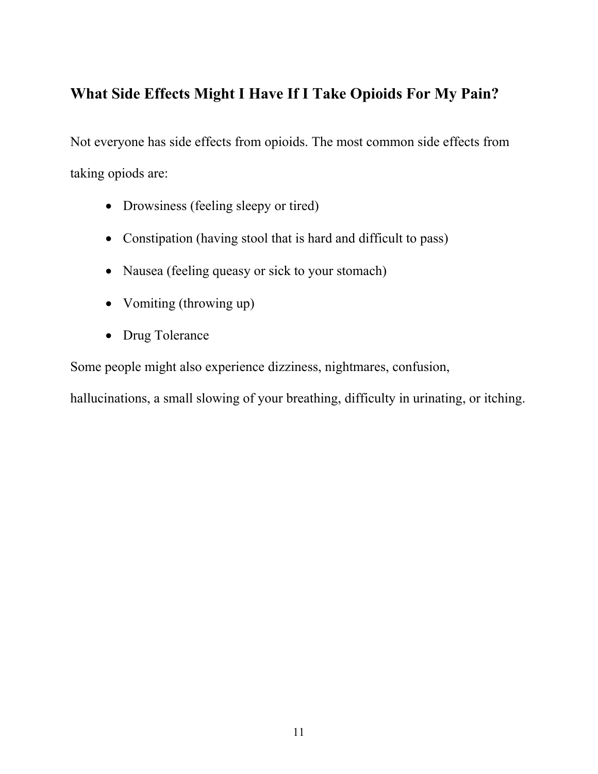# **What Side Effects Might I Have If I Take Opioids For My Pain?**

Not everyone has side effects from opioids. The most common side effects from taking opiods are:

- Drowsiness (feeling sleepy or tired)
- Constipation (having stool that is hard and difficult to pass)
- Nausea (feeling queasy or sick to your stomach)
- Vomiting (throwing up)
- Drug Tolerance

Some people might also experience dizziness, nightmares, confusion,

hallucinations, a small slowing of your breathing, difficulty in urinating, or itching.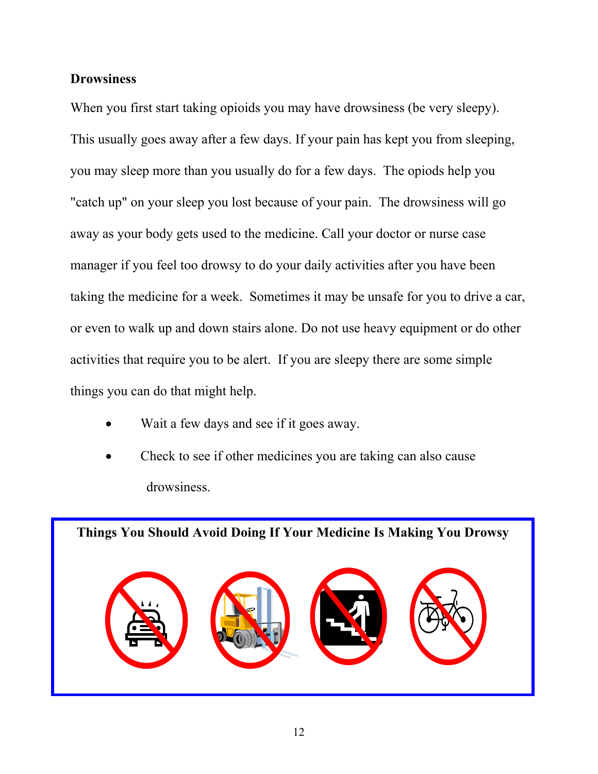#### **Drowsiness**

When you first start taking opioids you may have drowsiness (be very sleepy). This usually goes away after a few days. If your pain has kept you from sleeping, you may sleep more than you usually do for a few days. The opiods help you "catch up" on your sleep you lost because of your pain. The drowsiness will go away as your body gets used to the medicine. Call your doctor or nurse case manager if you feel too drowsy to do your daily activities after you have been taking the medicine for a week. Sometimes it may be unsafe for you to drive a car, or even to walk up and down stairs alone. Do not use heavy equipment or do other activities that require you to be alert. If you are sleepy there are some simple things you can do that might help.

- Wait a few days and see if it goes away.
- Check to see if other medicines you are taking can also cause drowsiness.

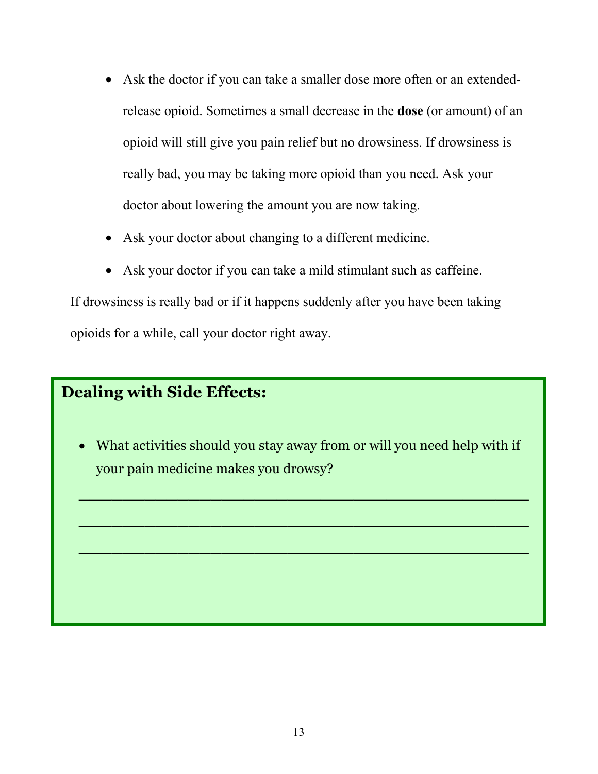- Ask the doctor if you can take a smaller dose more often or an extendedrelease opioid. Sometimes a small decrease in the **dose** (or amount) of an opioid will still give you pain relief but no drowsiness. If drowsiness is really bad, you may be taking more opioid than you need. Ask your doctor about lowering the amount you are now taking.
- Ask your doctor about changing to a different medicine.
- Ask your doctor if you can take a mild stimulant such as caffeine.

If drowsiness is really bad or if it happens suddenly after you have been taking opioids for a while, call your doctor right away.

# **Dealing with Side Effects:**

• What activities should you stay away from or will you need help with if your pain medicine makes you drowsy?

**\_\_\_\_\_\_\_\_\_\_\_\_\_\_\_\_\_\_\_\_\_\_\_\_\_\_\_\_\_\_\_\_\_\_\_\_\_\_\_\_\_**

**\_\_\_\_\_\_\_\_\_\_\_\_\_\_\_\_\_\_\_\_\_\_\_\_\_\_\_\_\_\_\_\_\_\_\_\_\_\_\_\_\_** 

**\_\_\_\_\_\_\_\_\_\_\_\_\_\_\_\_\_\_\_\_\_\_\_\_\_\_\_\_\_\_\_\_\_\_\_\_\_\_\_\_\_**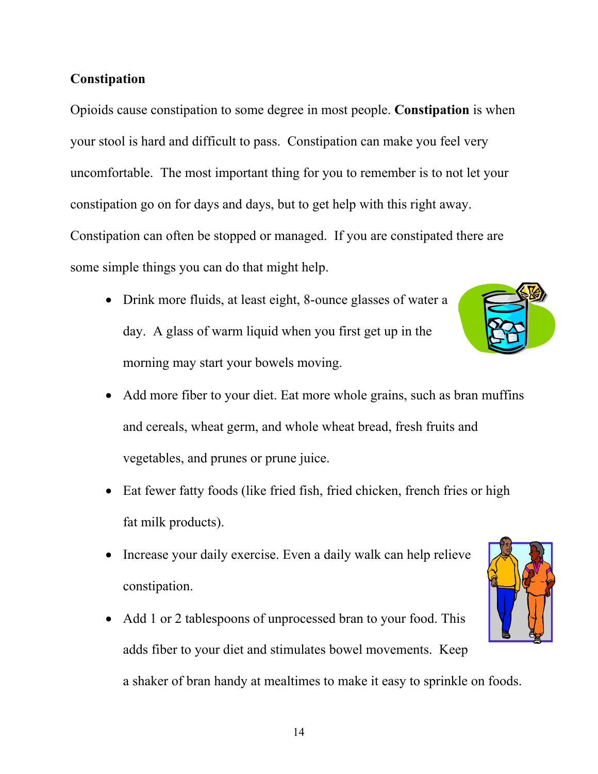### **Constipation**

Opioids cause constipation to some degree in most people. **Constipation** is when your stool is hard and difficult to pass. Constipation can make you feel very uncomfortable. The most important thing for you to remember is to not let your constipation go on for days and days, but to get help with this right away. Constipation can often be stopped or managed. If you are constipated there are some simple things you can do that might help.

• Drink more fluids, at least eight, 8-ounce glasses of water a day. A glass of warm liquid when you first get up in the morning may start your bowels moving.



- Add more fiber to your diet. Eat more whole grains, such as bran muffins and cereals, wheat germ, and whole wheat bread, fresh fruits and vegetables, and prunes or prune juice.
- Eat fewer fatty foods (like fried fish, fried chicken, french fries or high fat milk products).
- Increase your daily exercise. Even a daily walk can help relieve constipation.
- Add 1 or 2 tablespoons of unprocessed bran to your food. This adds fiber to your diet and stimulates bowel movements. Keep a shaker of bran handy at mealtimes to make it easy to sprinkle on foods.

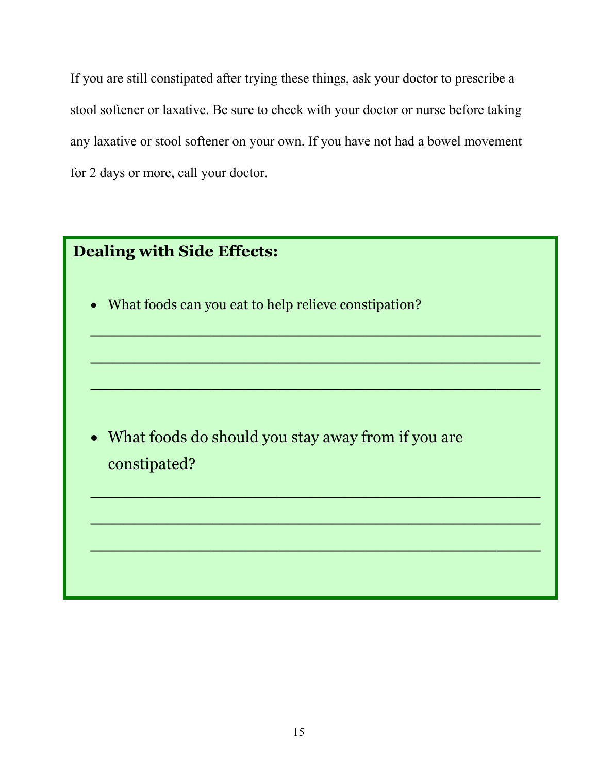If you are still constipated after trying these things, ask your doctor to prescribe a stool softener or laxative. Be sure to check with your doctor or nurse before taking any laxative or stool softener on your own. If you have not had a bowel movement for 2 days or more, call your doctor.

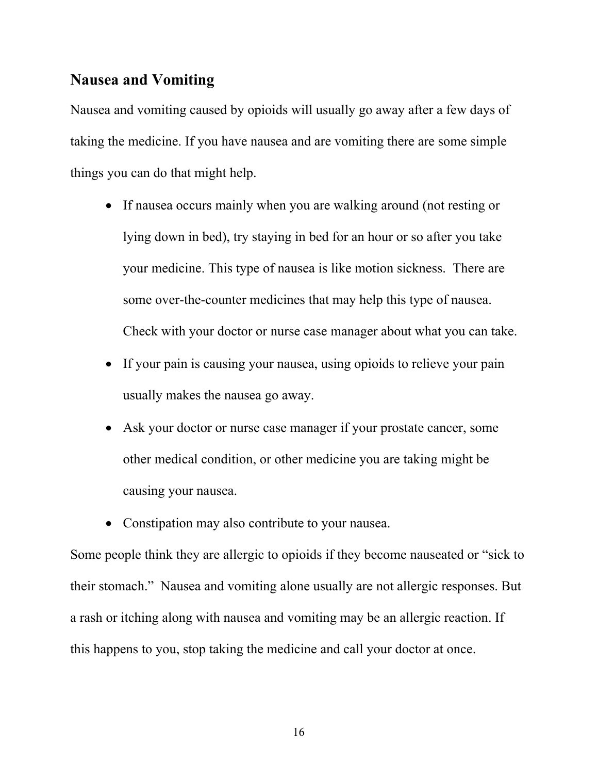### **Nausea and Vomiting**

Nausea and vomiting caused by opioids will usually go away after a few days of taking the medicine. If you have nausea and are vomiting there are some simple things you can do that might help.

- If nausea occurs mainly when you are walking around (not resting or lying down in bed), try staying in bed for an hour or so after you take your medicine. This type of nausea is like motion sickness. There are some over-the-counter medicines that may help this type of nausea. Check with your doctor or nurse case manager about what you can take.
- If your pain is causing your nausea, using opioids to relieve your pain usually makes the nausea go away.
- Ask your doctor or nurse case manager if your prostate cancer, some other medical condition, or other medicine you are taking might be causing your nausea.
- Constipation may also contribute to your nausea.

Some people think they are allergic to opioids if they become nauseated or "sick to their stomach." Nausea and vomiting alone usually are not allergic responses. But a rash or itching along with nausea and vomiting may be an allergic reaction. If this happens to you, stop taking the medicine and call your doctor at once.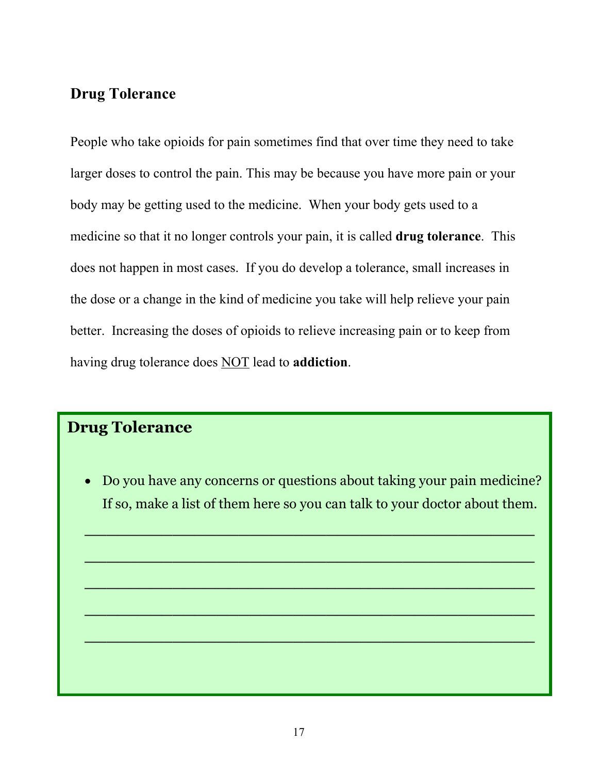## **Drug Tolerance**

People who take opioids for pain sometimes find that over time they need to take larger doses to control the pain. This may be because you have more pain or your body may be getting used to the medicine. When your body gets used to a medicine so that it no longer controls your pain, it is called **drug tolerance**. This does not happen in most cases. If you do develop a tolerance, small increases in the dose or a change in the kind of medicine you take will help relieve your pain better. Increasing the doses of opioids to relieve increasing pain or to keep from having drug tolerance does NOT lead to **addiction**.

# **Drug Tolerance**

• Do you have any concerns or questions about taking your pain medicine? If so, make a list of them here so you can talk to your doctor about them.

**\_\_\_\_\_\_\_\_\_\_\_\_\_\_\_\_\_\_\_\_\_\_\_\_\_\_\_\_\_\_\_\_\_\_\_\_\_\_\_\_\_**

**\_\_\_\_\_\_\_\_\_\_\_\_\_\_\_\_\_\_\_\_\_\_\_\_\_\_\_\_\_\_\_\_\_\_\_\_\_\_\_\_\_** 

**\_\_\_\_\_\_\_\_\_\_\_\_\_\_\_\_\_\_\_\_\_\_\_\_\_\_\_\_\_\_\_\_\_\_\_\_\_\_\_\_\_** 

**\_\_\_\_\_\_\_\_\_\_\_\_\_\_\_\_\_\_\_\_\_\_\_\_\_\_\_\_\_\_\_\_\_\_\_\_\_\_\_\_\_**

**\_\_\_\_\_\_\_\_\_\_\_\_\_\_\_\_\_\_\_\_\_\_\_\_\_\_\_\_\_\_\_\_\_\_\_\_\_\_\_\_\_**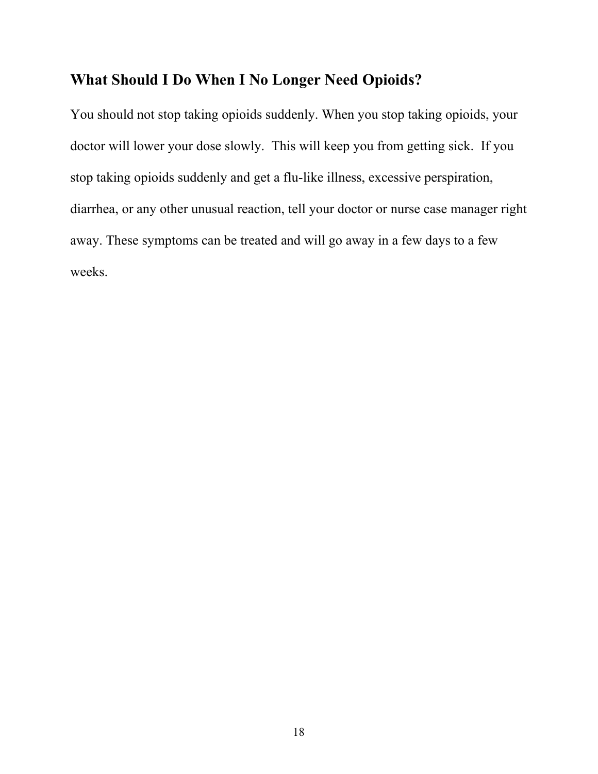### **What Should I Do When I No Longer Need Opioids?**

You should not stop taking opioids suddenly. When you stop taking opioids, your doctor will lower your dose slowly. This will keep you from getting sick. If you stop taking opioids suddenly and get a flu-like illness, excessive perspiration, diarrhea, or any other unusual reaction, tell your doctor or nurse case manager right away. These symptoms can be treated and will go away in a few days to a few weeks.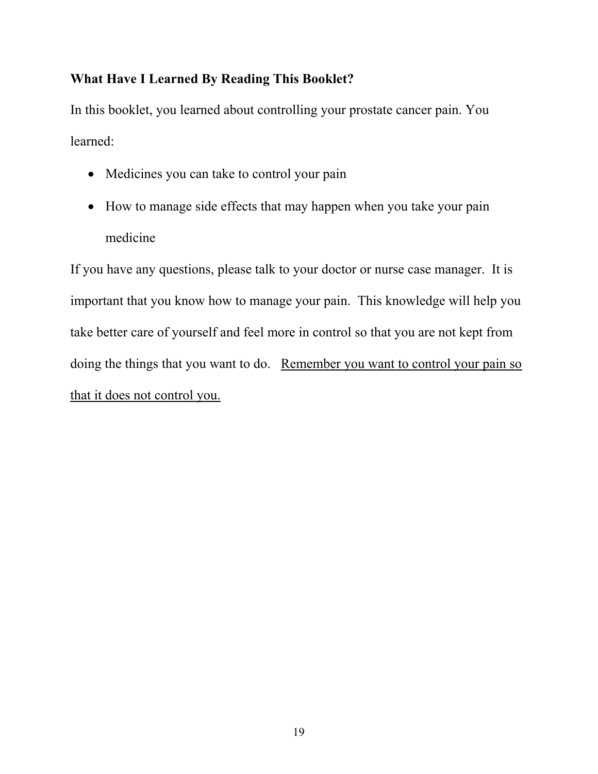## **What Have I Learned By Reading This Booklet?**

In this booklet, you learned about controlling your prostate cancer pain. You learned:

- Medicines you can take to control your pain
- How to manage side effects that may happen when you take your pain medicine

If you have any questions, please talk to your doctor or nurse case manager. It is important that you know how to manage your pain. This knowledge will help you take better care of yourself and feel more in control so that you are not kept from doing the things that you want to do. Remember you want to control your pain so that it does not control you.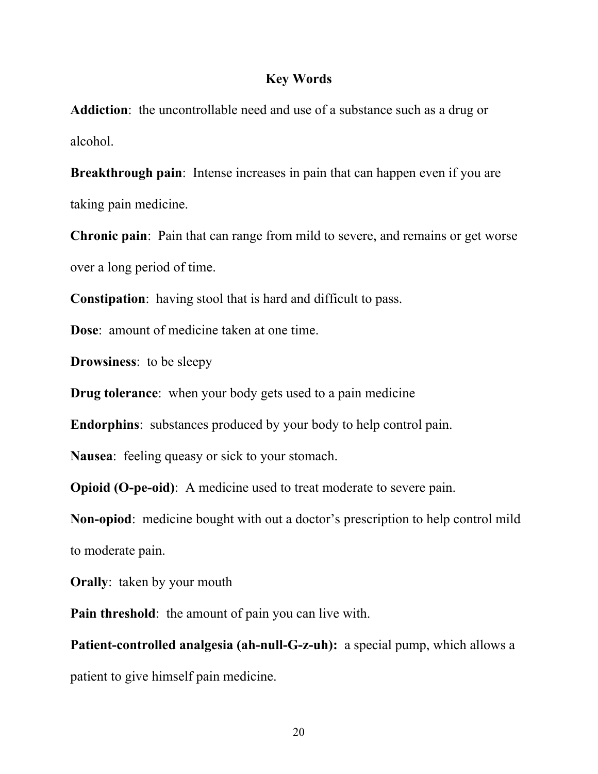#### **Key Words**

**Addiction**: the uncontrollable need and use of a substance such as a drug or alcohol.

**Breakthrough pain**: Intense increases in pain that can happen even if you are taking pain medicine.

**Chronic pain**: Pain that can range from mild to severe, and remains or get worse over a long period of time.

**Constipation**: having stool that is hard and difficult to pass.

**Dose**: amount of medicine taken at one time.

**Drowsiness**: to be sleepy

**Drug tolerance**: when your body gets used to a pain medicine

**Endorphins**: substances produced by your body to help control pain.

**Nausea**: feeling queasy or sick to your stomach.

**Opioid (O-pe-oid)**: A medicine used to treat moderate to severe pain.

**Non-opiod**: medicine bought with out a doctor's prescription to help control mild to moderate pain.

**Orally**: taken by your mouth

**Pain threshold**: the amount of pain you can live with.

**Patient-controlled analgesia (ah-null-G-z-uh):** a special pump, which allows a patient to give himself pain medicine.

20